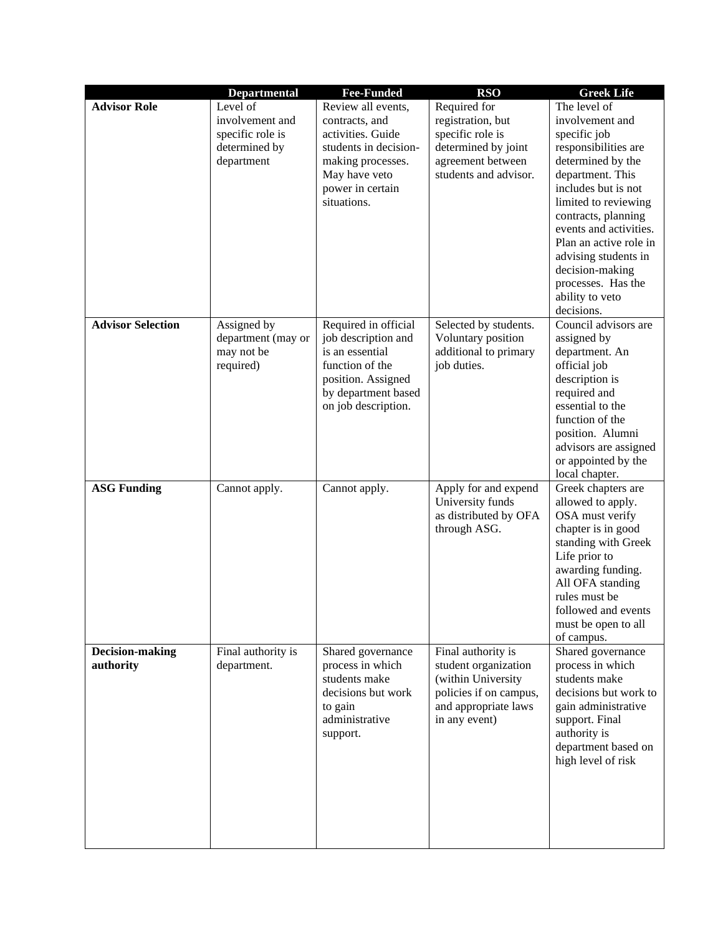|                              | <b>Departmental</b>                                                            | <b>Fee-Funded</b>                                                                                                                                           | <b>RSO</b>                                                                                                                          | <b>Greek Life</b>                                                                                                                                                                                                                                                                                                                            |
|------------------------------|--------------------------------------------------------------------------------|-------------------------------------------------------------------------------------------------------------------------------------------------------------|-------------------------------------------------------------------------------------------------------------------------------------|----------------------------------------------------------------------------------------------------------------------------------------------------------------------------------------------------------------------------------------------------------------------------------------------------------------------------------------------|
| <b>Advisor Role</b>          | Level of<br>involvement and<br>specific role is<br>determined by<br>department | Review all events,<br>contracts, and<br>activities. Guide<br>students in decision-<br>making processes.<br>May have veto<br>power in certain<br>situations. | Required for<br>registration, but<br>specific role is<br>determined by joint<br>agreement between<br>students and advisor.          | The level of<br>involvement and<br>specific job<br>responsibilities are<br>determined by the<br>department. This<br>includes but is not<br>limited to reviewing<br>contracts, planning<br>events and activities.<br>Plan an active role in<br>advising students in<br>decision-making<br>processes. Has the<br>ability to veto<br>decisions. |
| <b>Advisor Selection</b>     | Assigned by<br>department (may or<br>may not be<br>required)                   | Required in official<br>job description and<br>is an essential<br>function of the<br>position. Assigned<br>by department based<br>on job description.       | Selected by students.<br>Voluntary position<br>additional to primary<br>job duties.                                                 | Council advisors are<br>assigned by<br>department. An<br>official job<br>description is<br>required and<br>essential to the<br>function of the<br>position. Alumni<br>advisors are assigned<br>or appointed by the<br>local chapter.                                                                                                         |
| <b>ASG Funding</b>           | Cannot apply.                                                                  | Cannot apply.                                                                                                                                               | Apply for and expend<br>University funds<br>as distributed by OFA<br>through ASG.                                                   | Greek chapters are<br>allowed to apply.<br>OSA must verify<br>chapter is in good<br>standing with Greek<br>Life prior to<br>awarding funding.<br>All OFA standing<br>rules must be<br>followed and events<br>must be open to all<br>of campus.                                                                                               |
| Decision-making<br>authority | Final authority is<br>department.                                              | Shared governance<br>process in which<br>students make<br>decisions but work<br>to gain<br>administrative<br>support.                                       | Final authority is<br>student organization<br>(within University<br>policies if on campus,<br>and appropriate laws<br>in any event) | Shared governance<br>process in which<br>students make<br>decisions but work to<br>gain administrative<br>support. Final<br>authority is<br>department based on<br>high level of risk                                                                                                                                                        |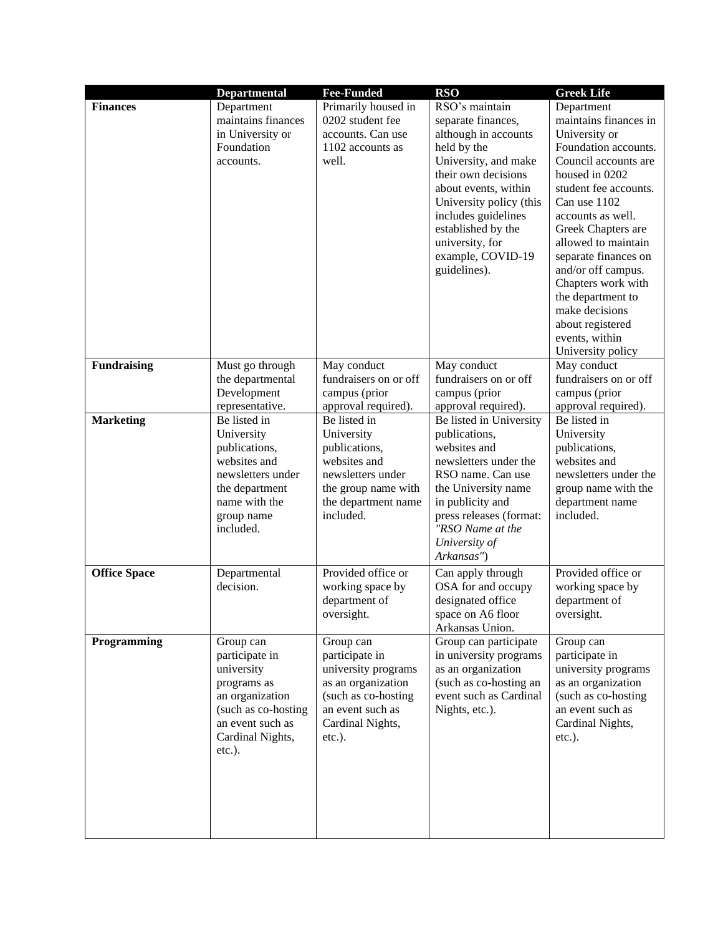|                     | <b>Departmental</b>                                                                                                                                     | <b>Fee-Funded</b>                                                                                                                                    | <b>RSO</b>                                                                                                                                                                                                                                                                         | <b>Greek Life</b>                                                                                                                                                                                                                                                                                                                                                                                       |
|---------------------|---------------------------------------------------------------------------------------------------------------------------------------------------------|------------------------------------------------------------------------------------------------------------------------------------------------------|------------------------------------------------------------------------------------------------------------------------------------------------------------------------------------------------------------------------------------------------------------------------------------|---------------------------------------------------------------------------------------------------------------------------------------------------------------------------------------------------------------------------------------------------------------------------------------------------------------------------------------------------------------------------------------------------------|
| <b>Finances</b>     | Department<br>maintains finances<br>in University or<br>Foundation<br>accounts.                                                                         | Primarily housed in<br>0202 student fee<br>accounts. Can use<br>1102 accounts as<br>well.                                                            | RSO's maintain<br>separate finances,<br>although in accounts<br>held by the<br>University, and make<br>their own decisions<br>about events, within<br>University policy (this<br>includes guidelines<br>established by the<br>university, for<br>example, COVID-19<br>guidelines). | Department<br>maintains finances in<br>University or<br>Foundation accounts.<br>Council accounts are<br>housed in 0202<br>student fee accounts.<br>Can use 1102<br>accounts as well.<br>Greek Chapters are<br>allowed to maintain<br>separate finances on<br>and/or off campus.<br>Chapters work with<br>the department to<br>make decisions<br>about registered<br>events, within<br>University policy |
| <b>Fundraising</b>  | Must go through<br>the departmental<br>Development<br>representative.                                                                                   | May conduct<br>fundraisers on or off<br>campus (prior<br>approval required).                                                                         | May conduct<br>fundraisers on or off<br>campus (prior<br>approval required).                                                                                                                                                                                                       | May conduct<br>fundraisers on or off<br>campus (prior<br>approval required).                                                                                                                                                                                                                                                                                                                            |
| <b>Marketing</b>    | Be listed in<br>University<br>publications,<br>websites and<br>newsletters under<br>the department<br>name with the<br>group name<br>included.          | Be listed in<br>University<br>publications,<br>websites and<br>newsletters under<br>the group name with<br>the department name<br>included.          | Be listed in University<br>publications,<br>websites and<br>newsletters under the<br>RSO name. Can use<br>the University name<br>in publicity and<br>press releases (format:<br>"RSO Name at the<br>University of<br>Arkansas")                                                    | Be listed in<br>University<br>publications,<br>websites and<br>newsletters under the<br>group name with the<br>department name<br>included.                                                                                                                                                                                                                                                             |
| <b>Office Space</b> | Departmental<br>decision.                                                                                                                               | Provided office or<br>working space by<br>department of<br>oversight.                                                                                | Can apply through<br>OSA for and occupy<br>designated office<br>space on A6 floor<br>Arkansas Union.                                                                                                                                                                               | Provided office or<br>working space by<br>department of<br>oversight.                                                                                                                                                                                                                                                                                                                                   |
| Programming         | Group can<br>participate in<br>university<br>programs as<br>an organization<br>(such as co-hosting<br>an event such as<br>Cardinal Nights,<br>$etc.$ ). | Group can<br>participate in<br>university programs<br>as an organization<br>(such as co-hosting<br>an event such as<br>Cardinal Nights,<br>$etc.$ ). | Group can participate<br>in university programs<br>as an organization<br>(such as co-hosting an<br>event such as Cardinal<br>Nights, etc.).                                                                                                                                        | Group can<br>participate in<br>university programs<br>as an organization<br>(such as co-hosting<br>an event such as<br>Cardinal Nights,<br>$etc.$ ).                                                                                                                                                                                                                                                    |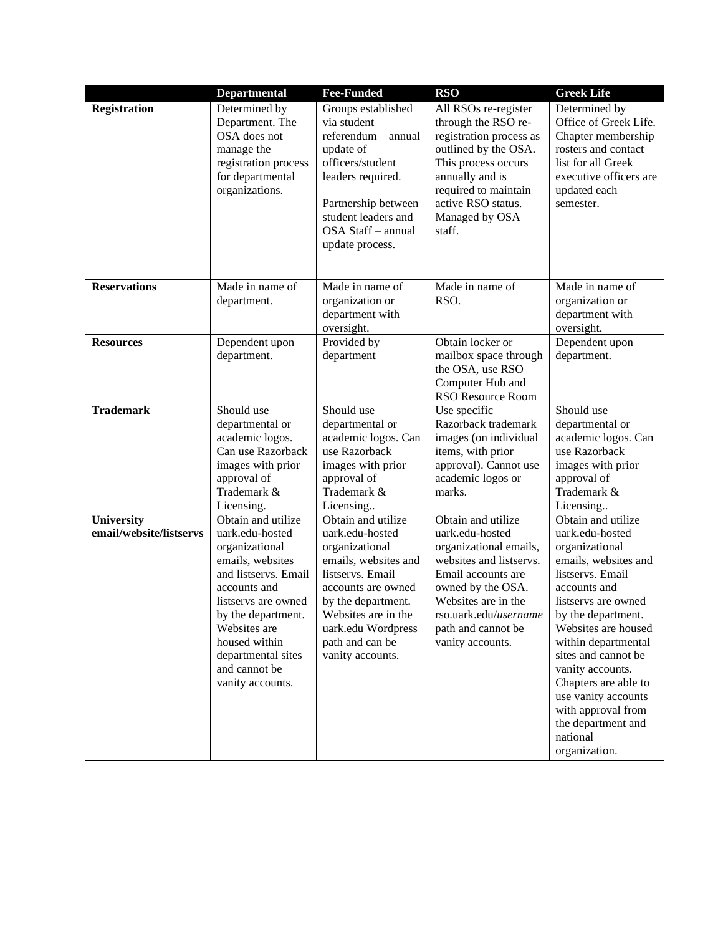|                                       | <b>Departmental</b>                                                                                                                                                                                                                                          | <b>Fee-Funded</b>                                                                                                                                                                                                                   | <b>RSO</b>                                                                                                                                                                                                                      | <b>Greek Life</b>                                                                                                                                                                                                                                                                                                                                                                 |
|---------------------------------------|--------------------------------------------------------------------------------------------------------------------------------------------------------------------------------------------------------------------------------------------------------------|-------------------------------------------------------------------------------------------------------------------------------------------------------------------------------------------------------------------------------------|---------------------------------------------------------------------------------------------------------------------------------------------------------------------------------------------------------------------------------|-----------------------------------------------------------------------------------------------------------------------------------------------------------------------------------------------------------------------------------------------------------------------------------------------------------------------------------------------------------------------------------|
| <b>Registration</b>                   | Determined by<br>Department. The<br>OSA does not<br>manage the<br>registration process<br>for departmental<br>organizations.                                                                                                                                 | Groups established<br>via student<br>referendum - annual<br>update of<br>officers/student<br>leaders required.<br>Partnership between<br>student leaders and<br>OSA Staff - annual<br>update process.                               | All RSOs re-register<br>through the RSO re-<br>registration process as<br>outlined by the OSA.<br>This process occurs<br>annually and is<br>required to maintain<br>active RSO status.<br>Managed by OSA<br>staff.              | Determined by<br>Office of Greek Life.<br>Chapter membership<br>rosters and contact<br>list for all Greek<br>executive officers are<br>updated each<br>semester.                                                                                                                                                                                                                  |
| <b>Reservations</b>                   | Made in name of<br>department.                                                                                                                                                                                                                               | Made in name of<br>organization or<br>department with<br>oversight.                                                                                                                                                                 | Made in name of<br>RSO.                                                                                                                                                                                                         | Made in name of<br>organization or<br>department with<br>oversight.                                                                                                                                                                                                                                                                                                               |
| <b>Resources</b>                      | Dependent upon<br>department.                                                                                                                                                                                                                                | Provided by<br>department                                                                                                                                                                                                           | Obtain locker or<br>mailbox space through<br>the OSA, use RSO<br>Computer Hub and<br>RSO Resource Room                                                                                                                          | Dependent upon<br>department.                                                                                                                                                                                                                                                                                                                                                     |
| <b>Trademark</b>                      | Should use<br>departmental or<br>academic logos.<br>Can use Razorback<br>images with prior<br>approval of<br>Trademark &<br>Licensing.                                                                                                                       | Should use<br>departmental or<br>academic logos. Can<br>use Razorback<br>images with prior<br>approval of<br>Trademark &<br>Licensing                                                                                               | Use specific<br>Razorback trademark<br>images (on individual<br>items, with prior<br>approval). Cannot use<br>academic logos or<br>marks.                                                                                       | Should use<br>departmental or<br>academic logos. Can<br>use Razorback<br>images with prior<br>approval of<br>Trademark &<br>Licensing                                                                                                                                                                                                                                             |
| University<br>email/website/listservs | Obtain and utilize<br>uark.edu-hosted<br>organizational<br>emails, websites<br>and listservs. Email<br>accounts and<br>listservs are owned<br>by the department.<br>Websites are<br>housed within<br>departmental sites<br>and cannot be<br>vanity accounts. | Obtain and utilize<br>uark.edu-hosted<br>organizational<br>emails, websites and<br>listservs. Email<br>accounts are owned<br>by the department.<br>Websites are in the<br>uark.edu Wordpress<br>path and can be<br>vanity accounts. | Obtain and utilize<br>uark.edu-hosted<br>organizational emails,<br>websites and listservs.<br>Email accounts are<br>owned by the OSA.<br>Websites are in the<br>rso.uark.edu/username<br>path and cannot be<br>vanity accounts. | Obtain and utilize<br>uark.edu-hosted<br>organizational<br>emails, websites and<br>listservs. Email<br>accounts and<br>listservs are owned<br>by the department.<br>Websites are housed<br>within departmental<br>sites and cannot be<br>vanity accounts.<br>Chapters are able to<br>use vanity accounts<br>with approval from<br>the department and<br>national<br>organization. |